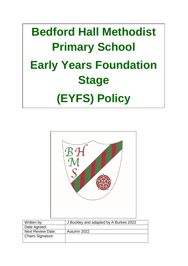# **TheSchoolBus Compliance Manager Early Years Foundation Bedford Hall Methodist Primary School Stage (EYFS) Policy**



| Written by:              | J Buckley and adapted by A Burkes 2022 |  |  |
|--------------------------|----------------------------------------|--|--|
| Date Agreed:             |                                        |  |  |
| <b>Next Review Date:</b> | Autumn 2022                            |  |  |
| <b>Chairs Signature:</b> |                                        |  |  |
|                          |                                        |  |  |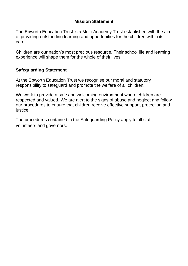# **Mission Statement**

The Epworth Education Trust is a Multi-Academy Trust established with the aim of providing outstanding learning and opportunities for the children within its care.

Children are our nation's most precious resource. Their school life and learning experience will shape them for the whole of their lives

# **Safeguarding Statement**

At the Epworth Education Trust we recognise our moral and statutory responsibility to safeguard and promote the welfare of all children.

We work to provide a safe and welcoming environment where children are respected and valued. We are alert to the signs of abuse and neglect and follow our procedures to ensure that children receive effective support, protection and justice.

The procedures contained in the Safeguarding Policy apply to all staff, volunteers and governors.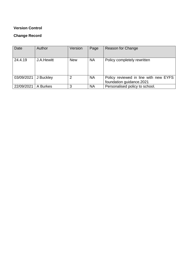## **Version Control**

## **Change Record**

| Date       | Author     | Version    | Page      | Reason for Change                                                 |
|------------|------------|------------|-----------|-------------------------------------------------------------------|
| 24.4.19    | J.A.Hewitt | <b>New</b> | <b>NA</b> | Policy completely rewritten                                       |
| 03/09/2021 | J Buckley  | 2          | <b>NA</b> | Policy reviewed in line with new EYFS<br>foundation guidance.2021 |
| 22/09/2021 | A Burkes   | 3          | <b>NA</b> | Personalised policy to school.                                    |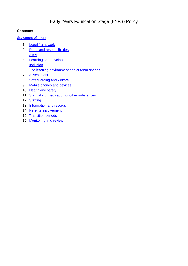# Early Years Foundation Stage (EYFS) Policy

#### **Contents:**

#### **[Statement of intent](#page-3-0)**

- 1. [Legal framework](#page-4-0)
- 2. [Roles and responsibilities](#page-6-0)
- 3. [Aims](#page-6-1)
- 4. [Learning and development](#page-7-0)
- 5. [Inclusion](#page-8-0)
- 6. [The learning environment and outdoor spaces](#page-9-0)
- 7. [Assessment](#page-9-1)
- 8. [Safeguarding and welfare](#page-10-0)
- 9. [Mobile phones and devices](#page-10-1)
- 10. Health and safety
- 11. [Staff taking medication or other substances](#page-12-1)
- 12. [Staffing](#page-13-0)
- 13. [Information and records](#page-14-0)
- 14. [Parental involvement](#page-14-1)
- 15. [Transition periods](#page-15-0)
- <span id="page-3-0"></span>16. [Monitoring and review](#page-17-0)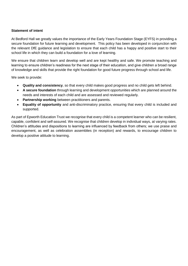#### **Statement of intent**

At Bedford Hall we greatly values the importance of the Early Years Foundation Stage (EYFS) in providing a secure foundation for future learning and development. This policy has been developed in conjunction with the relevant DfE guidance and legislation to ensure that each child has a happy and positive start to their school life in which they can build a foundation for a love of learning.

We ensure that children learn and develop well and are kept healthy and safe. We promote teaching and learning to ensure children's readiness for the next stage of their education, and give children a broad range of knowledge and skills that provide the right foundation for good future progress through school and life.

We seek to provide:

- **Quality and consistency**, so that every child makes good progress and no child gets left behind.
- **A secure foundation** through learning and development opportunities which are planned around the needs and interests of each child and are assessed and reviewed regularly.
- **Partnership working** between practitioners and parents.
- <span id="page-4-0"></span> **Equality of opportunity** and anti-discriminatory practice, ensuring that every child is included and supported.

As part of Epworth Education Trust we recognise that every child is a competent learner who can be resilient, capable, confident and self-assured. We recognise that children develop in individual ways, at varying rates. Children's attitudes and dispositions to learning are influenced by feedback from others; we use praise and encouragement, as well as celebration assemblies (in reception) and rewards, to encourage children to develop a positive attitude to learning.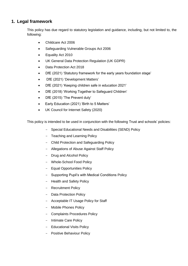## **1. Legal framework**

This policy has due regard to statutory legislation and guidance, including, but not limited to, the following:

- Childcare Act 2006
- Safeguarding Vulnerable Groups Act 2006
- Equality Act 2010
- UK General Data Protection Regulation (UK GDPR)
- Data Protection Act 2018
- DfE (2021) 'Statutory framework for the early years foundation stage'
- DfE (2021) 'Development Matters'
- DfE (2021) 'Keeping children safe in education 2021'
- DfE (2018) 'Working Together to Safeguard Children'
- DfE (2015) 'The Prevent duty'
- Early Education (2021) 'Birth to 5 Matters'
- UK Council for Internet Safety (2020)

This policy is intended to be used in conjunction with the following Trust and schools' policies:

- Special Educational Needs and Disabilities (SEND) Policy
- Teaching and Learning Policy
- Child Protection and Safeguarding Policy
- Allegations of Abuse Against Staff Policy
- Drug and Alcohol Policy
- Whole-School Food Policy
- Equal Opportunities Policy
- Supporting Pupil's with Medical Conditions Policy
- Health and Safety Policy
- Recruitment Policy
- Data Protection Policy
- Acceptable IT Usage Policy for Staff
- Mobile Phones Policy
- Complaints Procedures Policy
- Intimate Care Policy
- Educational Visits Policy
- Positive Behaviour Policy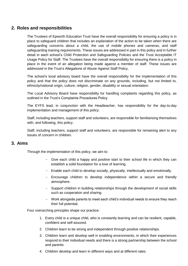## <span id="page-6-0"></span>**2. Roles and responsibilities**

The Trustees of Epworth Education Trust have the overall responsibility for ensuring a policy is in place to safeguard children that includes an explanation of the action to be taken when there are safeguarding concerns about a child, the use of mobile phones and cameras, and staff safeguarding training requirements. These issues are addressed in part in this policy and in further detail in each school's Child Protection and Safeguarding Policies and the Trust Acceptable IT Usage Policy for Staff. The Trustees have the overall responsibility for ensuring there is a policy in place in the event of an allegation being made against a member of staff. These issues are addressed in the Trust's Allegations of Abuse Against Staff Policy.

The school's local advisory board have the overall responsibility for the implementation of this policy and that the policy does not discriminate on any grounds, including, but not limited to, ethnicity/national origin, culture, religion, gender, disability or sexual orientation.

The Local Advisory Board have responsibility for handling complaints regarding this policy, as outlined in the Trust's Complaints Procedures Policy.

The EYFS lead, in conjunction with the Headteacher, has responsibility for the day-to-day implementation and management of this policy.

Staff, including teachers, support staff and volunteers, are responsible for familiarising themselves with, and following, this policy.

Staff, including teachers, support staff and volunteers, are responsible for remaining alert to any issues of concern in children.

#### <span id="page-6-1"></span>**3. Aims**

Through the implementation of this policy, we aim to:

- Give each child a happy and positive start to their school life in which they can establish a solid foundation for a love of learning.
- Enable each child to develop socially, physically, intellectually and emotionally.
- Encourage children to develop independence within a secure and friendly atmosphere.
- Support children in building relationships through the development of social skills such as cooperation and sharing.
- Work alongside parents to meet each child's individual needs to ensure they reach their full potential.

Four overarching principles shape our practice:

- 1. Every child is a unique child, who is constantly learning and can be resilient, capable, confident and self-assured.
- 2. Children learn to be strong and independent through positive relationships.
- 3. Children learn and develop well in enabling environments, in which their experiences respond to their individual needs and there is a strong partnership between the school and parents.
- 4. Children develop and learn in different ways and at different rates.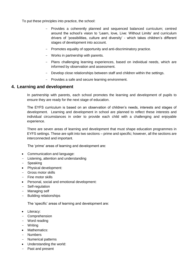To put these principles into practice, the school:

- Provides a coherently planned and sequenced balanced curriculum; centred around the school's vision to 'Learn, love, Live: Without Limits' and curriculum drivers of 'possibilities, culture and diversity' - which takes children's different stages of development into account.
- Promotes equality of opportunity and anti-discriminatory practice.
- Works in partnership with parents.
- Plans challenging learning experiences, based on individual needs, which are informed by observation and assessment.
- Develop close relationships between staff and children within the settings.
- Provides a safe and secure learning environment.

#### <span id="page-7-0"></span>**4. Learning and development**

In partnership with parents, each school promotes the learning and development of pupils to ensure they are ready for the next stage of education.

The EYFS curriculum is based on an observation of children's needs, interests and stages of development. Learning and development in school are planned to reflect these interests and individual circumstances in order to provide each child with a challenging and enjoyable experience.

There are seven areas of learning and development that must shape education programmes in EYFS settings. These are split into two sections – prime and specific; however, all the sections are interconnected and important.

The 'prime' areas of learning and development are:

- Communication and language:
- Listening, attention and understanding
- Speaking
- Physical development:
- Gross motor skills
- Fine motor skills
- Personal, social and emotional development:
- Self-regulation
- Managing self
- Building relationships

The 'specific' areas of learning and development are:

- Literacy:
- Comprehension
- Word reading
- Writing
- Mathematics:
- Numbers
- Numerical patterns
- Understanding the world:
- Past and present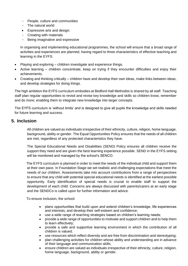- People, culture and communities
- The natural world
- Expressive arts and design:
- Creating with materials
- Being imaginative and expressive

In organising and implementing educational programmes, the school will ensure that a broad range of activities and experiences are planned, having regard to three characteristics of effective teaching and learning in the EYFS:

- Playing and exploring children investigate and experience things.
- Active learning children concentrate, keep on trying if they encounter difficulties and enjoy their achievements.
- Creating and thinking critically children have and develop their own ideas, make links between ideas, and develop strategies for doing things.

The high ambition the EYFS curriculum embodies at Bedford Hall Methodist is shared by all staff. Teaching staff plan regular opportunities to revisit and revise key knowledge and skills so children know, remember and do more; enabling them to integrate new knowledge into larger concepts.

The EYFS curriculum is 'without limits' and is designed to give all pupils the knowledge and skills needed for future learning and success.

#### <span id="page-8-0"></span>**5. Inclusion**

All children are valued as individuals irrespective of their ethnicity, culture, religion, home language, background, ability or gender. The Equal Opportunities Policy ensures that the needs of all children are met, regardless of any protected characteristics they have.

The Special Educational Needs and Disabilities (SEND) Policy ensures all children receive the support they need and are given the best learning experience possible. SEND in the EYFS setting will be monitored and managed by the school's SENCO.

The EYFS curriculum is planned in order to meet the needs of the individual child and support them at their own pace. In Foundation Stage we set realistic and challenging expectations that meet the needs of our children. Assessments take into account contributions from a range of perspectives to ensure that any child with potential special educational needs is identified at the earliest possible opportunity. Early identification of special needs is crucial to enable staff to support the development of each child. Concerns are always discussed with parents/carers at an early stage and the SENDCo is called upon for further information and advice.

To ensure inclusion, the school:

- plans opportunities that build upon and extend children's knowledge, life experiences and interests, and develop their self-esteem and confidence;
- use a wide range of teaching strategies based on children's learning needs;
- provide a wide range of opportunities to motivate and support children and to help them to learn effectively;
- provide a safe and supportive learning environment in which the contribution of all children is valued;
- use resources which reflect diversity and are free from discrimination and stereotyping;
- plan challenging activities for children whose ability and understanding are in advance of their language and communication skills;
- ensure children are valued as individuals irrespective of their ethnicity, culture, religion, home language, background, ability or gender.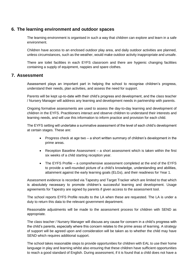## <span id="page-9-0"></span>**6. The learning environment and outdoor spaces**

The learning environment is organised in such a way that children can explore and learn in a safe environment.

Children have access to an enclosed outdoor play area, and daily outdoor activities are planned, unless circumstances, such as the weather, would make outdoor activity inappropriate and unsafe.

There are toilet facilities in each EYFS classroom and there are hygienic changing facilities containing a supply of equipment, nappies and spare clothes.

## <span id="page-9-1"></span>**7. Assessment**

Assessment plays an important part in helping the school to recognise children's progress, understand their needs, plan activities, and assess the need for support.

Parents will be kept up-to-date with their child's progress and development, and the class teacher / Nursery Manager will address any learning and development needs in partnership with parents.

Ongoing formative assessments are used to assess the day-to-day learning and development of children in the EYFS. Practitioners interact and observe children to understand their interests and learning needs, and will use this information to inform practice and provision for each child.

The EYFS setting will undertake a summative assessment of the level of each child's development at certain stages. These are:

- Progress check at age two a short written summary of children's development in the prime areas.
- Reception Baseline Assessment a short assessment which is taken within the first six weeks of a child starting reception year.
- The EYFS Profile a comprehensive assessment completed at the end of the EYFS to provide a well-rounded picture of a child's knowledge, understanding and abilities, attainment against the early learning goals (ELGs), and their readiness for Year 1.

Assessment evidence is recorded via Tapestry and Target Tracker which are limited to that which is absolutely necessary to promote children's successful learning and development. Usage agreements for Tapestry are signed by parents if given access to the assessment tool.

The school reports EYFS Profile results to the LA when these are requested. The LA is under a duty to return this data to the relevant government department.

Reasonable adjustments will be made to the assessment process for children with SEND as appropriate.

The class teacher / Nursery Manager will discuss any cause for concern in a child's progress with the child's parents, especially where this concern relates to the prime areas of learning. A strategy of support will be agreed upon and consideration will be taken as to whether the child may have SEND which requires additional support.

The school takes reasonable steps to provide opportunities for children with EAL to use their home language in play and learning whilst also ensuring that these children have sufficient opportunities to reach a good standard of English. During assessment, if it is found that a child does not have a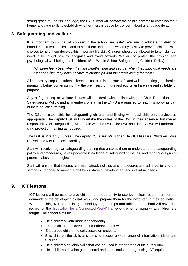strong grasp of English language, the EYFS lead will contact the child's parents to establish their home language skills to establish whether there is cause for concern about a language delay.

## <span id="page-10-0"></span>**8. Safeguarding and welfare**

It is important to us that all children in the school are 'safe'. We aim to educate children on boundaries, rules and limits and to help them understand why they exist. We provide children with choices to help them develop this important life skill. Children should be allowed to take risks, but need to be taught how to recognise and avoid hazards. We aim to protect the physical and psychological well-being of all children. (See Whole School Safeguarding Children Policy)

*"Children learn best when they are healthy, safe and secure, when their individual needs are met and when they have positive relationships with the adults caring for them."*

All necessary steps are taken to keep the children in our care safe and well, promoting good health, managing behaviour, ensuring that the premises, furniture and equipment are safe and suitable for purpose.

Any safeguarding or welfare issues will be dealt with in line with the Child Protection and Safeguarding Policy, and all members of staff in the EYFS are required to read this policy as part of their induction training

The DSL is responsible for safeguarding children and liaising with local children's services as appropriate. The deputy DSL will undertake the duties of the DSL in their absence, but overall responsibility for safeguarding will remain with the DSL. The DSL and deputy DSL will undertake child protection training as required.

The DSL is Mrs Amy Burkes. The deputy DSLs are: Mr. Adrian Hewitt, Miss Lisa Whittaker, Miss Russell and Mrs Rebecca Handley.

Staff will receive regular safeguarding training that enables them to understand the safeguarding policy and procedures, have up-to-date knowledge of safeguarding issues, and recognise signs of potential abuse and neglect.

Staff will ensure that records are maintained, policies and procedures are adhered to and the setting is managed to meet the children's stage of development and individual needs.

#### <span id="page-10-1"></span>**9. ICT lessons**

.

ICT lessons will be used to give children the opportunity to use technology, equip them for the demands of the developing digital world, and prepare them for the next step in their education. When teaching ICT and utilising technology, e.g. laptops and tablets, the school will have due regard for the ['Education for a Connected World'](https://www.gov.uk/government/publications/education-for-a-connected-world) framework when shaping what children are taught. The school aims to:

- Help children work more independently.
- Enable children to develop and enhance their work.
- Encourage children to collaborate on projects.
- Give children the skills and tools to access a wide range of information, ideas and cultures.
- Help children develop skills that can be used in other areas of the curriculum.
- Help children develop good control and coordination through using ICT equipment.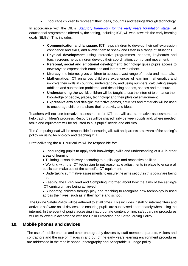Encourage children to represent their ideas, thoughts and feelings through technology.

In accordance with the DfE's ['Statutory framework for the early years foundation stage'](https://www.gov.uk/government/publications/early-years-foundation-stage-framework--2), all educational programmes offered by the setting, including ICT, will work towards the early learning goals (ELGs). This includes:

- **Communication and language**: ICT helps children to develop their self-expression confidence and skills, and allows them to speak and listen in a range of situations.
- **Physical development**: using interactive programmes, beebots, keyboards and touch screens helps children develop their coordination, control and movement.
- **Personal, social and emotional development**: technology gives pupils access to new ways to express their emotions and interact with others.
- **Literacy**: the internet gives children to access a vast range of media and materials.
- **Mathematics**: ICT enhances children's experiences of learning mathematics and improve their skills in counting, understanding and using numbers, calculating simple addition and subtraction problems, and describing shapes, spaces and measure.
- **Understanding the world**: children will be taught to use the internet to enhance their knowledge of people, places, technology and their physical environment.
- **Expressive arts and design**: interactive games, activities and materials will be used to encourage children to share their creativity and ideas.

Teachers will not use formative assessments for ICT, but will use summative assessments to help track children's progress. Resources will be shared fairly between pupils and, where needed, tasks and equipment will be adjusted to suit pupils' needs and abilities.

The Computing lead will be responsible for ensuring all staff and parents are aware of the setting's policy on using technology and teaching ICT.

Staff delivering the ICT curriculum will be responsible for:

- Encouraging pupils to apply their knowledge, skills and understanding of ICT in other areas of learning.
- Tailoring lesson delivery according to pupils' age and respective abilities.
- Working with the ICT technician to put reasonable adjustments in place to ensure all pupils can make use of the school's ICT equipment.
- Undertaking summative assessments to ensure the aims set out in this policy are being met.

• Keeping the EYFS lead and Computing informed about how the aims of the setting's ICT curriculum are being achieved.

 Supporting children through play and teaching to recognise how technology is used across their lives, such as in their home and school.

The Online Safety Policy will be adhered to at all times. This includes installing internet filters and antivirus software on all devices and ensuring pupils are supervised appropriately when using the internet. In the event of pupils accessing inappropriate content online, safeguarding procedures will be followed in accordance with the Child Protection and Safeguarding Policy.

## **10. Mobile phones and devices**

The use of mobile phones and other photography devices by staff members, parents, visitors and contractors and the use of images in and out of the early years learning environment procedures are addressed in the mobile phone, photography and Acceptable IT usage policy.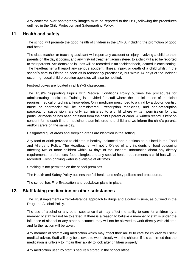Any concerns over photography images must be reported to the DSL, following the procedures outlined in the Child Protection and Safeguarding Policy.

## <span id="page-12-0"></span>**11. Health and safety**

The school will promote the good health of children in the EYFS, including the promotion of good oral health.

The class teacher or teaching assistant will report any accident or injury involving a child to their parents on the day it occurs, and any first-aid treatment administered to a child will also be reported to their parents. Accidents and injuries will be recorded in an accident book, located in each setting. The headteacher will report any serious accident, illness, injury, or death of a child whilst in the school's care to Ofsted as soon as is reasonably practicable, but within 14 days of the incident occurring. Local child protection agencies will also be notified.

First-aid boxes are located in all EYFS classrooms.

The Trust's Supporting Pupil's with Medical Conditions Policy outlines the procedures for administrating medicines. Training is provided for staff where the administration of medicine requires medical or technical knowledge. Only medicine prescribed to a child by a doctor, dentist, nurse or pharmacist will be administered. Prescription medicines, and non-prescription paracetamol suspension, are only administered to a child where written permission for that particular medicine has been obtained from the child's parent or carer. A written record is kept on consent forms each time a medicine is administered to a child and we inform the child's parents and/or carers on the same day.

Designated quiet areas and sleeping areas are identified in the setting.

Any food or drink provided to children is healthy, balanced and nutritious as outlined in the Food and Allergens Policy. The Headteacher will notify Ofsted of any incidents of food poisoning affecting two or more children within 14 days of the incident. Information about any dietary requirements, preferences, food allergies and any special health requirements a child has will be recorded. Fresh drinking water is available at all times.

Smoking is not permitted on the school premises.

The Health and Safety Policy outlines the full health and safety policies and procedures.

<span id="page-12-1"></span>The school has Fire Evacuation and Lockdown plans in place.

#### **12. Staff taking medication or other substances**

The Trust implements a zero-tolerance approach to drugs and alcohol misuse, as outlined in the Drug and Alcohol Policy.

The use of alcohol or any other substance that may affect the ability to care for children by a member of staff will not be tolerated. If there is a reason to believe a member of staff is under the influence of alcohol or any other substance, they will not be allowed to work directly with children and further action will be taken.

Any member of staff taking medication which may affect their ability to care for children will seek medical advice. Staff will only be allowed to work directly with the children if it is confirmed that the medication is unlikely to impair their ability to look after children properly.

Any medication used by staff is securely stored in the school office.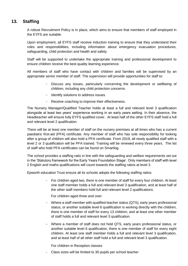# <span id="page-13-0"></span>**13. Staffing**

A robust Recruitment Policy is in place, which aims to ensure that members of staff employed in the EYFS are suitable.

Upon employment, all EYFS staff receive induction training to ensure that they understand their roles and responsibilities, including information about emergency evacuation procedures, safeguarding, child protection and health and safety.

Staff will be supported to undertake the appropriate training and professional development to ensure children receive the best quality learning experience.

All members of staff who have contact with children and families will be supervised by an appropriate senior member of staff. The supervision will provide opportunities for staff to:

- Discuss any issues, particularly concerning the development or wellbeing of children, including any child protection concerns.
- Identify solutions to address issues.
- Receive coaching to improve their effectiveness.

The Nursery Manager/Qualified Teacher holds at least a full and relevant level 3 qualification alongside at least two years' experience working in an early years setting. In their absence, the Headteacher will ensure fully EYFS qualified cover. At least half of the other EYFS staff hold a full and relevant level 2 qualification.

There will be at least one member of staff on the nursery premises at all times who has a current paediatric first-aid (PFA) certificate. Any member of staff who has sole responsibility for looking after a group of children will also hold a PFA certificate. From 2019, all newly qualified staff with a level 2 or 3 qualification will be PFA trained. Training will be renewed every three years. The list of staff who hold PFA certificates can be found on Smartlog.

The school provides a staffing ratio in line with the safeguarding and welfare requirements set out in the 'Statutory framework for the Early Years Foundation Stage'. Only members of staff with level 2 English and maths qualifications will count towards the staffing ratios at level 3.

Epworth education Trust ensure all its schools adopts the following staffing ratios:

- For children aged two, there is one member of staff for every four children. At least one staff member holds a full and relevant level 3 qualification, and at least half of the other staff members hold full and relevant level 2 qualifications.

For children aged three and over:

- Where a staff member with qualified teacher status (QTS), early years professional status, or another suitable level 6 qualification is working directly with the children, there is one member of staff for every 13 children, and at least one other member of staff holds a full and relevant level 3 qualification.
- Where a member of staff does not hold QTS, early years professional status, or another suitable level 6 qualification, there is one member of staff for every eight children. At least one staff member holds a full and relevant level 3 qualification, and at least half of all other staff hold a full and relevant level 3 qualification.

For children in Reception classes

- Class sizes will be limited to 30 pupils per school teacher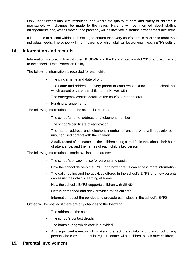Only under exceptional circumstances, and where the quality of care and safety of children is maintained, will changes be made to the ratios. Parents will be informed about staffing arrangements and, when relevant and practical, will be involved in staffing arrangement decisions.

It is the role of all staff within each setting to ensure that every child's care is tailored to meet their individual needs. The school will inform parents of which staff will be working in each EYFS setting.

## <span id="page-14-0"></span>**14. Information and records**

Information is stored in line with the UK GDPR and the Data Protection Act 2018, and with regard to the school's Data Protection Policy.

The following information is recorded for each child:

- The child's name and date of birth
- The name and address of every parent or carer who is known to the school, and which parent or carer the child normally lives with
- The emergency contact details of the child's parent or carer
- Funding arrangements

The following information about the school is recorded:

- The school's name, address and telephone number
- The school's certificate of registration
- The name, address and telephone number of anyone who will regularly be in unsupervised contact with the children
- A daily record of the names of the children being cared for in the school, their hours of attendance, and the names of each child's key person

The following information is made available to parents:

- The school's privacy notice for parents and pupils
- How the school delivers the EYFS and how parents can access more information
- The daily routine and the activities offered in the school's EYFS and how parents can assist their child's learning at home
- How the school's EYFS supports children with SEND
- Details of the food and drink provided to the children
- Information about the policies and procedures in place in the school's EYFS

Ofsted will be notified if there are any changes to the following:

- The address of the school
- The school's contact details
- The hours during which care is provided
- Any significant event which is likely to affect the suitability of the school or any person who cares for, or is in regular contact with, children to look after children

## <span id="page-14-1"></span>**15. Parental involvement**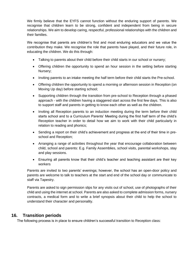We firmly believe that the EYFS cannot function without the enduring support of parents. We recognise that children learn to be strong, confident and independent from being in secure relationships. We aim to develop caring, respectful, professional relationships with the children and their families.

We recognise that parents are children's first and most enduring educators and we value the contribution they make. We recognise the role that parents have played, and their future role, in educating the children. We do this through:

- Talking to parents about their child before their child starts in our school or nursery;
- Offering children the opportunity to spend an hour session in the setting before starting Nursery;
- Inviting parents to an intake meeting the half term before their child starts the Pre-school.
- Offering children the opportunity to spend a morning or afternoon session in Reception (on Moving Up day) before starting school;
- Supporting children through the transition from pre-school to Reception through a phased approach - with the children having a staggered start across the first few days. This is also to support staff and parents in getting to know each other as well as the children.
- Inviting all Reception parents to an induction meeting during the term before their child starts school and to a Curriculum Parents' Meeting during the first half term of the child's Reception teacher in order to detail how we aim to work with their child particularly in relation to reading and phonics;
- Sending a report on their child's achievement and progress at the end of their time in preschool and Reception;
- Arranging a range of activities throughout the year that encourage collaboration between child, school and parents: E.g. Family Assemblies, school visits, parental workshops, stay and play sessions.
- Ensuring all parents know that their child's teacher and teaching assistant are their key workers

Parents are invited to two parents' evenings; however, the school has an open-door policy and parents are welcome to talk to teachers at the start and end of the school day or communicate to staff via Tapestry.

Parents are asked to sign permission slips for any visits out of school, use of photographs of their child and using the internet at school. Parents are also asked to complete admission forms, nursery contracts, a medical form and to write a brief synopsis about their child to help the school to understand their character and personality.

## <span id="page-15-0"></span>**16. Transition periods**

The following process is in place to ensure children's successful transition to Reception class: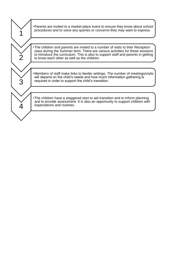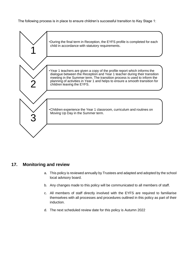The following process is in place to ensure children's successful transition to Key Stage 1:



## <span id="page-17-0"></span>**17. Monitoring and review**

- a. This policy is reviewed annually by Trustees and adapted and adopted by the school local advisory board.
- b. Any changes made to this policy will be communicated to all members of staff.
- c. All members of staff directly involved with the EYFS are required to familiarise themselves with all processes and procedures outlined in this policy as part of their induction.
- d. The next scheduled review date for this policy is Autumn 2022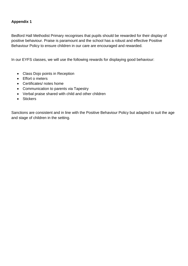## **Appendix 1**

Bedford Hall Methodist Primary recognises that pupils should be rewarded for their display of positive behaviour. Praise is paramount and the school has a robust and effective Positive Behaviour Policy to ensure children in our care are encouraged and rewarded.

In our EYFS classes, we will use the following rewards for displaying good behaviour:

- Class Dojo points in Reception
- Effort o meters
- Certificates/ notes home
- Communication to parents via Tapestry
- Verbal praise shared with child and other children
- Stickers

Sanctions are consistent and in line with the Positive Behaviour Policy but adapted to suit the age and stage of children in the setting.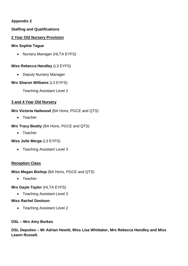## **Appendix 2**

## **Staffing and Qualifications**

#### **2 Year Old Nursery Provision**

#### **Mrs Sophie Tague**

• Nursery Manager (HLTA EYFS)

#### **Miss Rebecca Handley** (L3 EYFS)

• Deputy Nursery Manager

#### **Mrs Sharon Williams** (L3 EYFS)

Teaching Assistant Level 2

## **3 and 4 Year Old Nursery**

## **Mrs Victoria Hailwood** (BA Hons, PGCE and QTS)

• Teacher

## **Mrs Tracy Beatty** (BA Hons, PGCE and QTS)

• Teacher

## **Miss Julie Merga** (L3 EYFS)

• Teaching Assistant Level 3

## **Reception Class**

## **Miss Megan Bishop** (BA Hons, PGCE and QTS)

• Teacher

#### **Mrs Gayle Taylor** (HLTA EYFS)

• Teaching Assistant Level 3

#### **Miss Rachel Dootson**

• Teaching Assistant Level 2

#### **DSL – Mrs Amy Burkes**

**DSL Deputies – Mr Adrian Hewitt, Miss Lisa Whittaker, Mrs Rebecca Handley and Miss Leann Russell.**